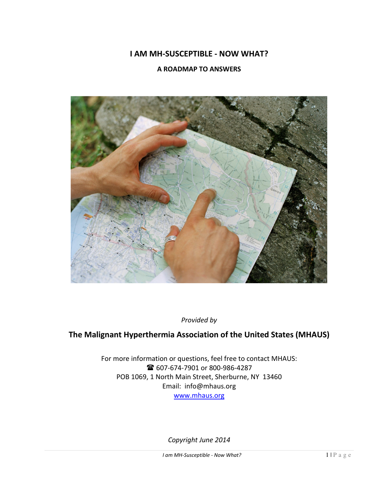# **I AM MH-SUSCEPTIBLE - NOW WHAT?**

### **A ROADMAP TO ANSWERS**



*Provided by* 

# **The Malignant Hyperthermia Association of the United States (MHAUS)**

For more information or questions, feel free to contact MHAUS: <sup>2</sup>607-674-7901 or 800-986-4287 POB 1069, 1 North Main Street, Sherburne, NY 13460 Email: info@mhaus.org www.mhaus.org

*Copyright June 2014*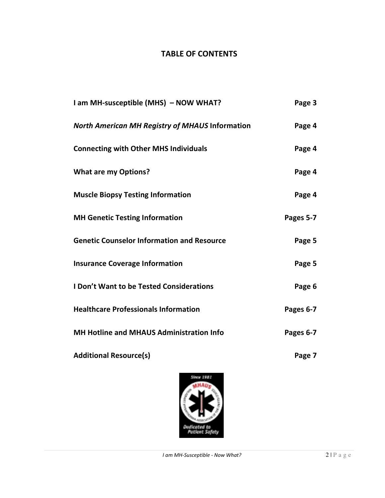# **TABLE OF CONTENTS**

| I am MH-susceptible (MHS) - NOW WHAT?                                                                                                 | Page 3    |
|---------------------------------------------------------------------------------------------------------------------------------------|-----------|
| <b>North American MH Registry of MHAUS Information</b><br><b>Connecting with Other MHS Individuals</b><br><b>What are my Options?</b> | Page 4    |
|                                                                                                                                       | Page 4    |
|                                                                                                                                       | Page 4    |
| <b>Muscle Biopsy Testing Information</b>                                                                                              | Page 4    |
| <b>MH Genetic Testing Information</b>                                                                                                 | Pages 5-7 |
| <b>Genetic Counselor Information and Resource</b><br><b>Insurance Coverage Information</b>                                            | Page 5    |
|                                                                                                                                       | Page 5    |
| <b>I Don't Want to be Tested Considerations</b>                                                                                       | Page 6    |
| <b>Healthcare Professionals Information</b>                                                                                           | Pages 6-7 |
| <b>MH Hotline and MHAUS Administration Info</b>                                                                                       | Pages 6-7 |
| <b>Additional Resource(s)</b>                                                                                                         | Page 7    |

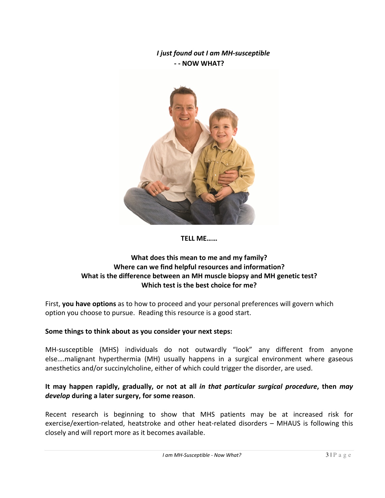# *I just found out I am MH-susceptible* **- - NOW WHAT?**



**TELL ME……** 

# **What does this mean to me and my family? Where can we find helpful resources and information? What is the difference between an MH muscle biopsy and MH genetic test? Which test is the best choice for me?**

First, **you have options** as to how to proceed and your personal preferences will govern which option you choose to pursue. Reading this resource is a good start.

# **Some things to think about as you consider your next steps:**

MH-susceptible (MHS) individuals do not outwardly "look" any different from anyone else….malignant hyperthermia (MH) usually happens in a surgical environment where gaseous anesthetics and/or succinylcholine, either of which could trigger the disorder, are used.

### **It may happen rapidly, gradually, or not at all** *in that particular surgical procedure***, then** *may develop* **during a later surgery, for some reason**.

Recent research is beginning to show that MHS patients may be at increased risk for exercise/exertion-related, heatstroke and other heat-related disorders – MHAUS is following this closely and will report more as it becomes available.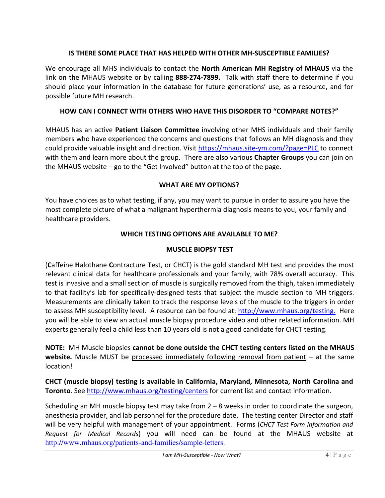# **IS THERE SOME PLACE THAT HAS HELPED WITH OTHER MH-SUSCEPTIBLE FAMILIES?**

We encourage all MHS individuals to contact the **North American MH Registry of MHAUS** via the link on the MHAUS website or by calling **888-274-7899.** Talk with staff there to determine if you should place your information in the database for future generations' use, as a resource, and for possible future MH research.

# **HOW CAN I CONNECT WITH OTHERS WHO HAVE THIS DISORDER TO "COMPARE NOTES?"**

MHAUS has an active **Patient Liaison Committee** involving other MHS individuals and their family members who have experienced the concerns and questions that follows an MH diagnosis and they could provide valuable insight and direction. Visit https://mhaus.site-ym.com/?page=PLC to connect with them and learn more about the group. There are also various **Chapter Groups** you can join on the MHAUS website – go to the "Get Involved" button at the top of the page.

### **WHAT ARE MY OPTIONS?**

You have choices as to what testing, if any, you may want to pursue in order to assure you have the most complete picture of what a malignant hyperthermia diagnosis means to you, your family and healthcare providers.

# **WHICH TESTING OPTIONS ARE AVAILABLE TO ME?**

### **MUSCLE BIOPSY TEST**

(**C**affeine **H**alothane **C**ontracture **T**est, or CHCT) is the gold standard MH test and provides the most relevant clinical data for healthcare professionals and your family, with 78% overall accuracy. This test is invasive and a small section of muscle is surgically removed from the thigh, taken immediately to that facility's lab for specifically-designed tests that subject the muscle section to MH triggers. Measurements are clinically taken to track the response levels of the muscle to the triggers in order to assess MH susceptibility level. A resource can be found at: http://www.mhaus.org/testing. Here you will be able to view an actual muscle biopsy procedure video and other related information. MH experts generally feel a child less than 10 years old is not a good candidate for CHCT testing.

**NOTE:** MH Muscle biopsies **cannot be done outside the CHCT testing centers listed on the MHAUS website.** Muscle MUST be processed immediately following removal from patient – at the same location!

**CHCT (muscle biopsy) testing is available in California, Maryland, Minnesota, North Carolina and Toronto**. See http://www.mhaus.org/testing/centers for current list and contact information.

Scheduling an MH muscle biopsy test may take from 2 – 8 weeks in order to coordinate the surgeon, anesthesia provider, and lab personnel for the procedure date. The testing center Director and staff will be very helpful with management of your appointment. Forms (*CHCT Test Form Information and Request for Medical Records*) you will need can be found at the MHAUS website at http://www.mhaus.org/patients-and-families/sample-letters.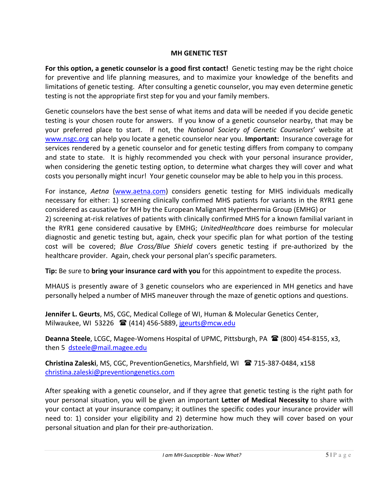### **MH GENETIC TEST**

**For this option, a genetic counselor is a good first contact!** Genetic testing may be the right choice for preventive and life planning measures, and to maximize your knowledge of the benefits and limitations of genetic testing. After consulting a genetic counselor, you may even determine genetic testing is not the appropriate first step for you and your family members.

Genetic counselors have the best sense of what items and data will be needed if you decide genetic testing is your chosen route for answers. If you know of a genetic counselor nearby, that may be your preferred place to start. If not, the *National Society of Genetic Counselors*' website at www.nsgc.org can help you locate a genetic counselor near you. **Important:** Insurance coverage for services rendered by a genetic counselor and for genetic testing differs from company to company and state to state. It is highly recommended you check with your personal insurance provider, when considering the genetic testing option, to determine what charges they will cover and what costs you personally might incur! Your genetic counselor may be able to help you in this process.

For instance, *Aetna* (www.aetna.com) considers genetic testing for MHS individuals medically necessary for either: 1) screening clinically confirmed MHS patients for variants in the RYR1 gene considered as causative for MH by the European Malignant Hyperthermia Group (EMHG) or 2) screening at-risk relatives of patients with clinically confirmed MHS for a known familial variant in the RYR1 gene considered causative by EMHG; *UnitedHealthcare* does reimburse for molecular diagnostic and genetic testing but, again, check your specific plan for what portion of the testing cost will be covered; *Blue Cross/Blue Shield* covers genetic testing if pre-authorized by the healthcare provider. Again, check your personal plan's specific parameters.

**Tip:** Be sure to **bring your insurance card with you** for this appointment to expedite the process.

MHAUS is presently aware of 3 genetic counselors who are experienced in MH genetics and have personally helped a number of MHS maneuver through the maze of genetic options and questions.

**Jennifer L. Geurts**, MS, CGC, Medical College of WI, Human & Molecular Genetics Center, Milwaukee, WI 53226  $^{\circ}$  (414) 456-5889, jgeurts@mcw.edu

**Deanna Steele**, LCGC, Magee-Womens Hospital of UPMC, Pittsburgh, PA  $\mathbf{\mathcal{R}}$  (800) 454-8155, x3, then 5 dsteele@mail.magee.edu

**Christina Zaleski**, MS, CGC, PreventionGenetics, Marshfield, WI 715-387-0484, x158 christina.zaleski@preventiongenetics.com

After speaking with a genetic counselor, and if they agree that genetic testing is the right path for your personal situation, you will be given an important **Letter of Medical Necessity** to share with your contact at your insurance company; it outlines the specific codes your insurance provider will need to: 1) consider your eligibility and 2) determine how much they will cover based on your personal situation and plan for their pre-authorization.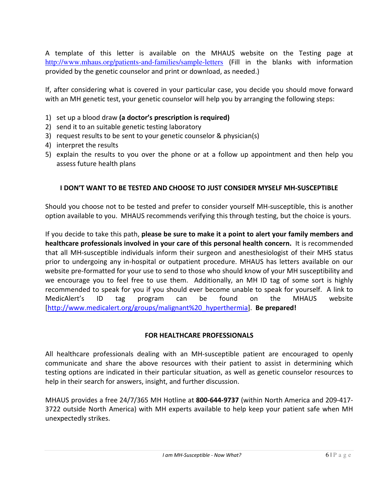A template of this letter is available on the MHAUS website on the Testing page at http://www.mhaus.org/patients-and-families/sample-letters (Fill in the blanks with information provided by the genetic counselor and print or download, as needed.)

If, after considering what is covered in your particular case, you decide you should move forward with an MH genetic test, your genetic counselor will help you by arranging the following steps:

- 1) set up a blood draw **(a doctor's prescription is required)**
- 2) send it to an suitable genetic testing laboratory
- 3) request results to be sent to your genetic counselor & physician(s)
- 4) interpret the results
- 5) explain the results to you over the phone or at a follow up appointment and then help you assess future health plans

### **I DON'T WANT TO BE TESTED AND CHOOSE TO JUST CONSIDER MYSELF MH-SUSCEPTIBLE**

Should you choose not to be tested and prefer to consider yourself MH-susceptible, this is another option available to you. MHAUS recommends verifying this through testing, but the choice is yours.

If you decide to take this path, **please be sure to make it a point to alert your family members and healthcare professionals involved in your care of this personal health concern.** It is recommended that all MH-susceptible individuals inform their surgeon and anesthesiologist of their MHS status prior to undergoing any in-hospital or outpatient procedure. MHAUS has letters available on our website pre-formatted for your use to send to those who should know of your MH susceptibility and we encourage you to feel free to use them. Additionally, an MH ID tag of some sort is highly recommended to speak for you if you should ever become unable to speak for yourself. A link to MedicAlert's ID tag program can be found on the MHAUS website [http://www.medicalert.org/groups/malignant%20\_hyperthermia]. **Be prepared!** 

#### **FOR HEALTHCARE PROFESSIONALS**

All healthcare professionals dealing with an MH-susceptible patient are encouraged to openly communicate and share the above resources with their patient to assist in determining which testing options are indicated in their particular situation, as well as genetic counselor resources to help in their search for answers, insight, and further discussion.

MHAUS provides a free 24/7/365 MH Hotline at **800-644-9737** (within North America and 209-417- 3722 outside North America) with MH experts available to help keep your patient safe when MH unexpectedly strikes.